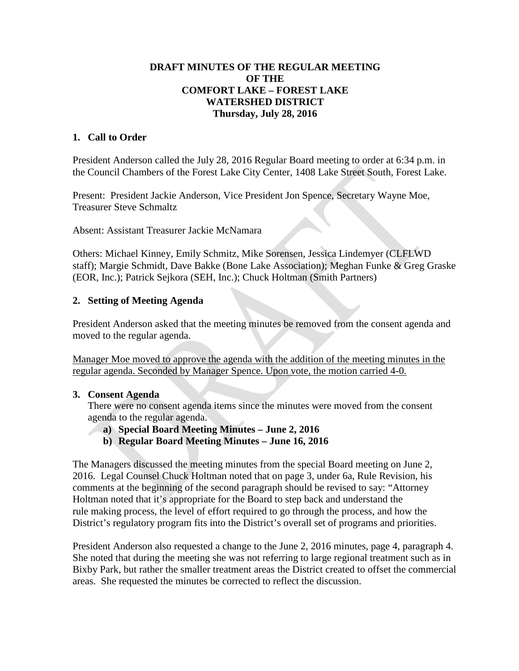## **DRAFT MINUTES OF THE REGULAR MEETING OF THE COMFORT LAKE – FOREST LAKE WATERSHED DISTRICT Thursday, July 28, 2016**

## **1. Call to Order**

President Anderson called the July 28, 2016 Regular Board meeting to order at 6:34 p.m. in the Council Chambers of the Forest Lake City Center, 1408 Lake Street South, Forest Lake.

Present: President Jackie Anderson, Vice President Jon Spence, Secretary Wayne Moe, Treasurer Steve Schmaltz

Absent: Assistant Treasurer Jackie McNamara

Others: Michael Kinney, Emily Schmitz, Mike Sorensen, Jessica Lindemyer (CLFLWD staff); Margie Schmidt, Dave Bakke (Bone Lake Association); Meghan Funke & Greg Graske (EOR, Inc.); Patrick Sejkora (SEH, Inc.); Chuck Holtman (Smith Partners)

## **2. Setting of Meeting Agenda**

President Anderson asked that the meeting minutes be removed from the consent agenda and moved to the regular agenda.

Manager Moe moved to approve the agenda with the addition of the meeting minutes in the regular agenda. Seconded by Manager Spence. Upon vote, the motion carried 4-0.

### **3. Consent Agenda**

There were no consent agenda items since the minutes were moved from the consent agenda to the regular agenda.

- **a) Special Board Meeting Minutes – June 2, 2016**
- **b) Regular Board Meeting Minutes – June 16, 2016**

The Managers discussed the meeting minutes from the special Board meeting on June 2, 2016. Legal Counsel Chuck Holtman noted that on page 3, under 6a, Rule Revision, his comments at the beginning of the second paragraph should be revised to say: "Attorney Holtman noted that it's appropriate for the Board to step back and understand the rule making process, the level of effort required to go through the process, and how the District's regulatory program fits into the District's overall set of programs and priorities.

President Anderson also requested a change to the June 2, 2016 minutes, page 4, paragraph 4. She noted that during the meeting she was not referring to large regional treatment such as in Bixby Park, but rather the smaller treatment areas the District created to offset the commercial areas. She requested the minutes be corrected to reflect the discussion.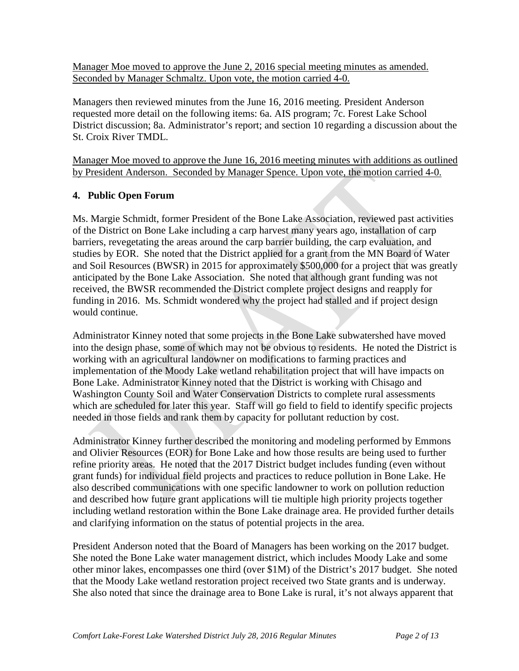Manager Moe moved to approve the June 2, 2016 special meeting minutes as amended. Seconded by Manager Schmaltz. Upon vote, the motion carried 4-0.

Managers then reviewed minutes from the June 16, 2016 meeting. President Anderson requested more detail on the following items: 6a. AIS program; 7c. Forest Lake School District discussion; 8a. Administrator's report; and section 10 regarding a discussion about the St. Croix River TMDL.

Manager Moe moved to approve the June 16, 2016 meeting minutes with additions as outlined by President Anderson. Seconded by Manager Spence. Upon vote, the motion carried 4-0.

# **4. Public Open Forum**

Ms. Margie Schmidt, former President of the Bone Lake Association, reviewed past activities of the District on Bone Lake including a carp harvest many years ago, installation of carp barriers, revegetating the areas around the carp barrier building, the carp evaluation, and studies by EOR. She noted that the District applied for a grant from the MN Board of Water and Soil Resources (BWSR) in 2015 for approximately \$500,000 for a project that was greatly anticipated by the Bone Lake Association. She noted that although grant funding was not received, the BWSR recommended the District complete project designs and reapply for funding in 2016. Ms. Schmidt wondered why the project had stalled and if project design would continue.

Administrator Kinney noted that some projects in the Bone Lake subwatershed have moved into the design phase, some of which may not be obvious to residents. He noted the District is working with an agricultural landowner on modifications to farming practices and implementation of the Moody Lake wetland rehabilitation project that will have impacts on Bone Lake. Administrator Kinney noted that the District is working with Chisago and Washington County Soil and Water Conservation Districts to complete rural assessments which are scheduled for later this year. Staff will go field to field to identify specific projects needed in those fields and rank them by capacity for pollutant reduction by cost.

Administrator Kinney further described the monitoring and modeling performed by Emmons and Olivier Resources (EOR) for Bone Lake and how those results are being used to further refine priority areas. He noted that the 2017 District budget includes funding (even without grant funds) for individual field projects and practices to reduce pollution in Bone Lake. He also described communications with one specific landowner to work on pollution reduction and described how future grant applications will tie multiple high priority projects together including wetland restoration within the Bone Lake drainage area. He provided further details and clarifying information on the status of potential projects in the area.

President Anderson noted that the Board of Managers has been working on the 2017 budget. She noted the Bone Lake water management district, which includes Moody Lake and some other minor lakes, encompasses one third (over \$1M) of the District's 2017 budget. She noted that the Moody Lake wetland restoration project received two State grants and is underway. She also noted that since the drainage area to Bone Lake is rural, it's not always apparent that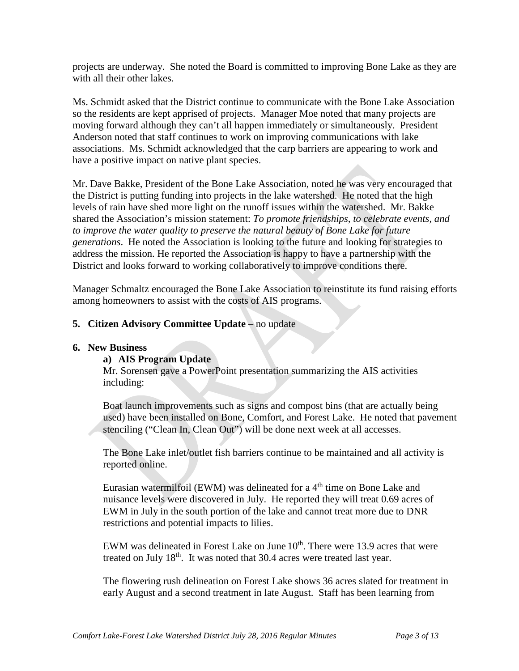projects are underway. She noted the Board is committed to improving Bone Lake as they are with all their other lakes.

Ms. Schmidt asked that the District continue to communicate with the Bone Lake Association so the residents are kept apprised of projects. Manager Moe noted that many projects are moving forward although they can't all happen immediately or simultaneously. President Anderson noted that staff continues to work on improving communications with lake associations. Ms. Schmidt acknowledged that the carp barriers are appearing to work and have a positive impact on native plant species.

Mr. Dave Bakke, President of the Bone Lake Association, noted he was very encouraged that the District is putting funding into projects in the lake watershed. He noted that the high levels of rain have shed more light on the runoff issues within the watershed. Mr. Bakke shared the Association's mission statement: *To promote friendships, to celebrate events, and to improve the water quality to preserve the natural beauty of Bone Lake for future generations*. He noted the Association is looking to the future and looking for strategies to address the mission. He reported the Association is happy to have a partnership with the District and looks forward to working collaboratively to improve conditions there.

Manager Schmaltz encouraged the Bone Lake Association to reinstitute its fund raising efforts among homeowners to assist with the costs of AIS programs.

## **5. Citizen Advisory Committee Update** – no update

### **6. New Business**

### **a) AIS Program Update**

Mr. Sorensen gave a PowerPoint presentation summarizing the AIS activities including:

Boat launch improvements such as signs and compost bins (that are actually being used) have been installed on Bone, Comfort, and Forest Lake. He noted that pavement stenciling ("Clean In, Clean Out") will be done next week at all accesses.

The Bone Lake inlet/outlet fish barriers continue to be maintained and all activity is reported online.

Eurasian watermilfoil (EWM) was delineated for a  $4<sup>th</sup>$  time on Bone Lake and nuisance levels were discovered in July. He reported they will treat 0.69 acres of EWM in July in the south portion of the lake and cannot treat more due to DNR restrictions and potential impacts to lilies.

EWM was delineated in Forest Lake on June  $10<sup>th</sup>$ . There were 13.9 acres that were treated on July 18<sup>th</sup>. It was noted that 30.4 acres were treated last year.

The flowering rush delineation on Forest Lake shows 36 acres slated for treatment in early August and a second treatment in late August. Staff has been learning from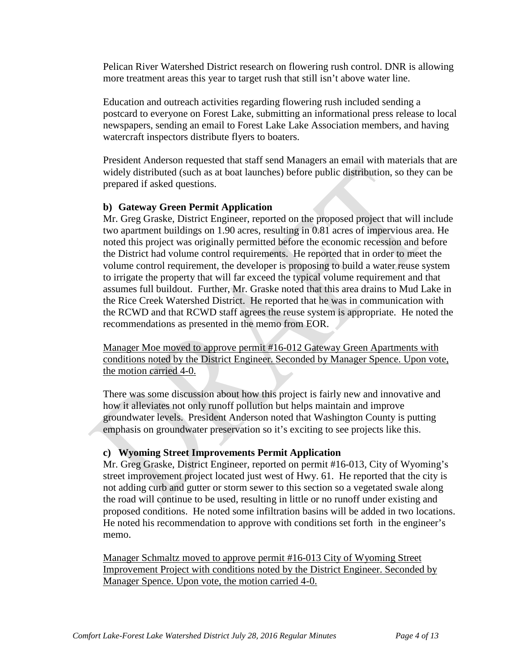Pelican River Watershed District research on flowering rush control. DNR is allowing more treatment areas this year to target rush that still isn't above water line.

Education and outreach activities regarding flowering rush included sending a postcard to everyone on Forest Lake, submitting an informational press release to local newspapers, sending an email to Forest Lake Lake Association members, and having watercraft inspectors distribute flyers to boaters.

President Anderson requested that staff send Managers an email with materials that are widely distributed (such as at boat launches) before public distribution, so they can be prepared if asked questions.

## **b) Gateway Green Permit Application**

Mr. Greg Graske, District Engineer, reported on the proposed project that will include two apartment buildings on 1.90 acres, resulting in 0.81 acres of impervious area. He noted this project was originally permitted before the economic recession and before the District had volume control requirements. He reported that in order to meet the volume control requirement, the developer is proposing to build a water reuse system to irrigate the property that will far exceed the typical volume requirement and that assumes full buildout. Further, Mr. Graske noted that this area drains to Mud Lake in the Rice Creek Watershed District. He reported that he was in communication with the RCWD and that RCWD staff agrees the reuse system is appropriate. He noted the recommendations as presented in the memo from EOR.

Manager Moe moved to approve permit #16-012 Gateway Green Apartments with conditions noted by the District Engineer. Seconded by Manager Spence. Upon vote, the motion carried 4-0.

There was some discussion about how this project is fairly new and innovative and how it alleviates not only runoff pollution but helps maintain and improve groundwater levels. President Anderson noted that Washington County is putting emphasis on groundwater preservation so it's exciting to see projects like this.

### **c) Wyoming Street Improvements Permit Application**

Mr. Greg Graske, District Engineer, reported on permit #16-013, City of Wyoming's street improvement project located just west of Hwy. 61. He reported that the city is not adding curb and gutter or storm sewer to this section so a vegetated swale along the road will continue to be used, resulting in little or no runoff under existing and proposed conditions. He noted some infiltration basins will be added in two locations. He noted his recommendation to approve with conditions set forth in the engineer's memo.

Manager Schmaltz moved to approve permit #16-013 City of Wyoming Street Improvement Project with conditions noted by the District Engineer. Seconded by Manager Spence. Upon vote, the motion carried 4-0.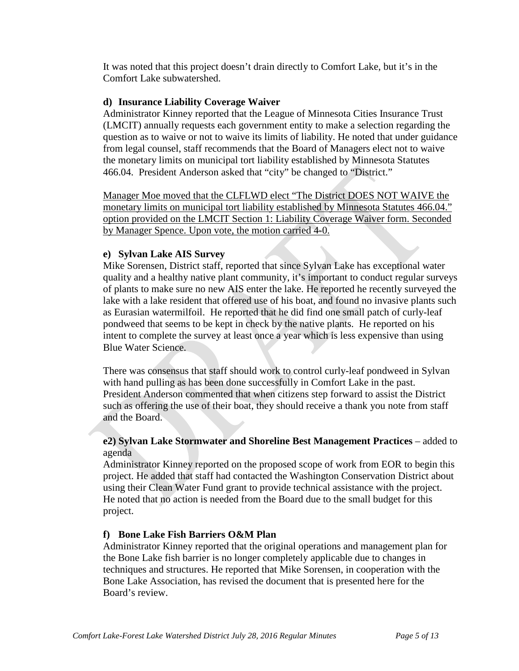It was noted that this project doesn't drain directly to Comfort Lake, but it's in the Comfort Lake subwatershed.

## **d) Insurance Liability Coverage Waiver**

Administrator Kinney reported that the League of Minnesota Cities Insurance Trust (LMCIT) annually requests each government entity to make a selection regarding the question as to waive or not to waive its limits of liability. He noted that under guidance from legal counsel, staff recommends that the Board of Managers elect not to waive the monetary limits on municipal tort liability established by Minnesota Statutes 466.04. President Anderson asked that "city" be changed to "District."

Manager Moe moved that the CLFLWD elect "The District DOES NOT WAIVE the monetary limits on municipal tort liability established by Minnesota Statutes 466.04." option provided on the LMCIT Section 1: Liability Coverage Waiver form. Seconded by Manager Spence. Upon vote, the motion carried 4-0.

## **e) Sylvan Lake AIS Survey**

Mike Sorensen, District staff, reported that since Sylvan Lake has exceptional water quality and a healthy native plant community, it's important to conduct regular surveys of plants to make sure no new AIS enter the lake. He reported he recently surveyed the lake with a lake resident that offered use of his boat, and found no invasive plants such as Eurasian watermilfoil. He reported that he did find one small patch of curly-leaf pondweed that seems to be kept in check by the native plants. He reported on his intent to complete the survey at least once a year which is less expensive than using Blue Water Science.

There was consensus that staff should work to control curly-leaf pondweed in Sylvan with hand pulling as has been done successfully in Comfort Lake in the past. President Anderson commented that when citizens step forward to assist the District such as offering the use of their boat, they should receive a thank you note from staff and the Board.

## **e2) Sylvan Lake Stormwater and Shoreline Best Management Practices** – added to agenda

Administrator Kinney reported on the proposed scope of work from EOR to begin this project. He added that staff had contacted the Washington Conservation District about using their Clean Water Fund grant to provide technical assistance with the project. He noted that no action is needed from the Board due to the small budget for this project.

### **f) Bone Lake Fish Barriers O&M Plan**

Administrator Kinney reported that the original operations and management plan for the Bone Lake fish barrier is no longer completely applicable due to changes in techniques and structures. He reported that Mike Sorensen, in cooperation with the Bone Lake Association, has revised the document that is presented here for the Board's review.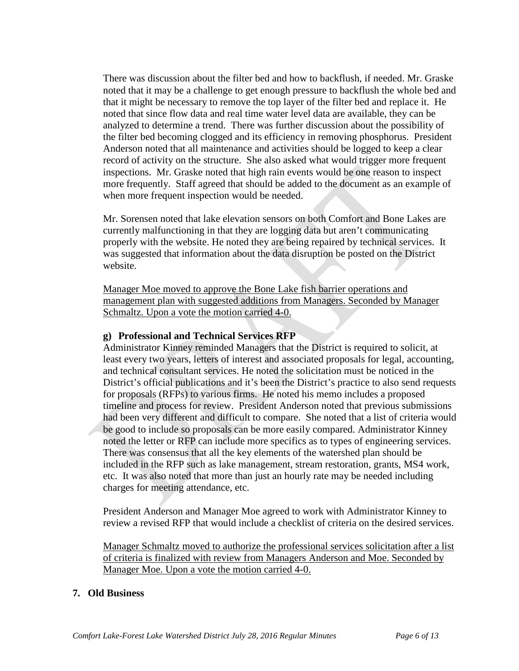There was discussion about the filter bed and how to backflush, if needed. Mr. Graske noted that it may be a challenge to get enough pressure to backflush the whole bed and that it might be necessary to remove the top layer of the filter bed and replace it. He noted that since flow data and real time water level data are available, they can be analyzed to determine a trend. There was further discussion about the possibility of the filter bed becoming clogged and its efficiency in removing phosphorus. President Anderson noted that all maintenance and activities should be logged to keep a clear record of activity on the structure. She also asked what would trigger more frequent inspections. Mr. Graske noted that high rain events would be one reason to inspect more frequently. Staff agreed that should be added to the document as an example of when more frequent inspection would be needed.

Mr. Sorensen noted that lake elevation sensors on both Comfort and Bone Lakes are currently malfunctioning in that they are logging data but aren't communicating properly with the website. He noted they are being repaired by technical services. It was suggested that information about the data disruption be posted on the District website.

Manager Moe moved to approve the Bone Lake fish barrier operations and management plan with suggested additions from Managers. Seconded by Manager Schmaltz. Upon a vote the motion carried 4-0.

### **g) Professional and Technical Services RFP**

Administrator Kinney reminded Managers that the District is required to solicit, at least every two years, letters of interest and associated proposals for legal, accounting, and technical consultant services. He noted the solicitation must be noticed in the District's official publications and it's been the District's practice to also send requests for proposals (RFPs) to various firms. He noted his memo includes a proposed timeline and process for review. President Anderson noted that previous submissions had been very different and difficult to compare. She noted that a list of criteria would be good to include so proposals can be more easily compared. Administrator Kinney noted the letter or RFP can include more specifics as to types of engineering services. There was consensus that all the key elements of the watershed plan should be included in the RFP such as lake management, stream restoration, grants, MS4 work, etc. It was also noted that more than just an hourly rate may be needed including charges for meeting attendance, etc.

President Anderson and Manager Moe agreed to work with Administrator Kinney to review a revised RFP that would include a checklist of criteria on the desired services.

Manager Schmaltz moved to authorize the professional services solicitation after a list of criteria is finalized with review from Managers Anderson and Moe. Seconded by Manager Moe. Upon a vote the motion carried 4-0.

### **7. Old Business**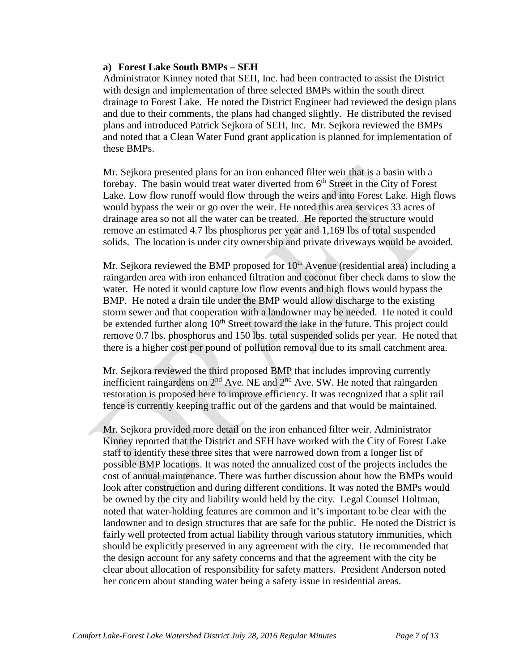#### **a) Forest Lake South BMPs – SEH**

Administrator Kinney noted that SEH, Inc. had been contracted to assist the District with design and implementation of three selected BMPs within the south direct drainage to Forest Lake. He noted the District Engineer had reviewed the design plans and due to their comments, the plans had changed slightly. He distributed the revised plans and introduced Patrick Sejkora of SEH, Inc. Mr. Sejkora reviewed the BMPs and noted that a Clean Water Fund grant application is planned for implementation of these BMPs.

Mr. Sejkora presented plans for an iron enhanced filter weir that is a basin with a forebay. The basin would treat water diverted from  $6<sup>th</sup>$  Street in the City of Forest Lake. Low flow runoff would flow through the weirs and into Forest Lake. High flows would bypass the weir or go over the weir. He noted this area services 33 acres of drainage area so not all the water can be treated. He reported the structure would remove an estimated 4.7 lbs phosphorus per year and 1,169 lbs of total suspended solids. The location is under city ownership and private driveways would be avoided.

Mr. Sejkora reviewed the BMP proposed for  $10<sup>th</sup>$  Avenue (residential area) including a raingarden area with iron enhanced filtration and coconut fiber check dams to slow the water. He noted it would capture low flow events and high flows would bypass the BMP. He noted a drain tile under the BMP would allow discharge to the existing storm sewer and that cooperation with a landowner may be needed. He noted it could be extended further along  $10<sup>th</sup>$  Street toward the lake in the future. This project could remove 0.7 lbs. phosphorus and 150 lbs. total suspended solids per year. He noted that there is a higher cost per pound of pollution removal due to its small catchment area.

Mr. Sejkora reviewed the third proposed BMP that includes improving currently inefficient raingardens on  $2<sup>nd</sup>$  Ave. NE and  $2<sup>nd</sup>$  Ave. SW. He noted that raingarden restoration is proposed here to improve efficiency. It was recognized that a split rail fence is currently keeping traffic out of the gardens and that would be maintained.

Mr. Sejkora provided more detail on the iron enhanced filter weir. Administrator Kinney reported that the District and SEH have worked with the City of Forest Lake staff to identify these three sites that were narrowed down from a longer list of possible BMP locations. It was noted the annualized cost of the projects includes the cost of annual maintenance. There was further discussion about how the BMPs would look after construction and during different conditions. It was noted the BMPs would be owned by the city and liability would held by the city. Legal Counsel Holtman, noted that water-holding features are common and it's important to be clear with the landowner and to design structures that are safe for the public. He noted the District is fairly well protected from actual liability through various statutory immunities, which should be explicitly preserved in any agreement with the city. He recommended that the design account for any safety concerns and that the agreement with the city be clear about allocation of responsibility for safety matters. President Anderson noted her concern about standing water being a safety issue in residential areas.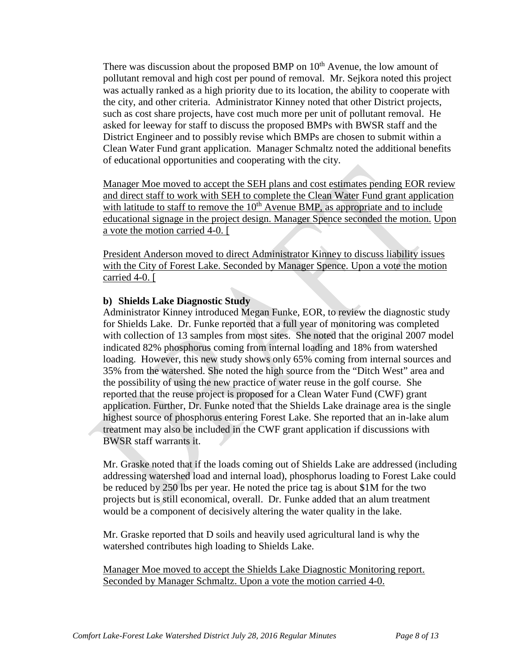There was discussion about the proposed BMP on  $10<sup>th</sup>$  Avenue, the low amount of pollutant removal and high cost per pound of removal. Mr. Sejkora noted this project was actually ranked as a high priority due to its location, the ability to cooperate with the city, and other criteria. Administrator Kinney noted that other District projects, such as cost share projects, have cost much more per unit of pollutant removal. He asked for leeway for staff to discuss the proposed BMPs with BWSR staff and the District Engineer and to possibly revise which BMPs are chosen to submit within a Clean Water Fund grant application. Manager Schmaltz noted the additional benefits of educational opportunities and cooperating with the city.

Manager Moe moved to accept the SEH plans and cost estimates pending EOR review and direct staff to work with SEH to complete the Clean Water Fund grant application with latitude to staff to remove the  $10<sup>th</sup>$  Avenue BMP, as appropriate and to include educational signage in the project design. Manager Spence seconded the motion. Upon a vote the motion carried 4-0. [

President Anderson moved to direct Administrator Kinney to discuss liability issues with the City of Forest Lake. Seconded by Manager Spence. Upon a vote the motion carried 4-0. [

## **b) Shields Lake Diagnostic Study**

Administrator Kinney introduced Megan Funke, EOR, to review the diagnostic study for Shields Lake. Dr. Funke reported that a full year of monitoring was completed with collection of 13 samples from most sites. She noted that the original 2007 model indicated 82% phosphorus coming from internal loading and 18% from watershed loading. However, this new study shows only 65% coming from internal sources and 35% from the watershed. She noted the high source from the "Ditch West" area and the possibility of using the new practice of water reuse in the golf course. She reported that the reuse project is proposed for a Clean Water Fund (CWF) grant application. Further, Dr. Funke noted that the Shields Lake drainage area is the single highest source of phosphorus entering Forest Lake. She reported that an in-lake alum treatment may also be included in the CWF grant application if discussions with BWSR staff warrants it.

Mr. Graske noted that if the loads coming out of Shields Lake are addressed (including addressing watershed load and internal load), phosphorus loading to Forest Lake could be reduced by 250 lbs per year. He noted the price tag is about \$1M for the two projects but is still economical, overall. Dr. Funke added that an alum treatment would be a component of decisively altering the water quality in the lake.

Mr. Graske reported that D soils and heavily used agricultural land is why the watershed contributes high loading to Shields Lake.

Manager Moe moved to accept the Shields Lake Diagnostic Monitoring report. Seconded by Manager Schmaltz. Upon a vote the motion carried 4-0.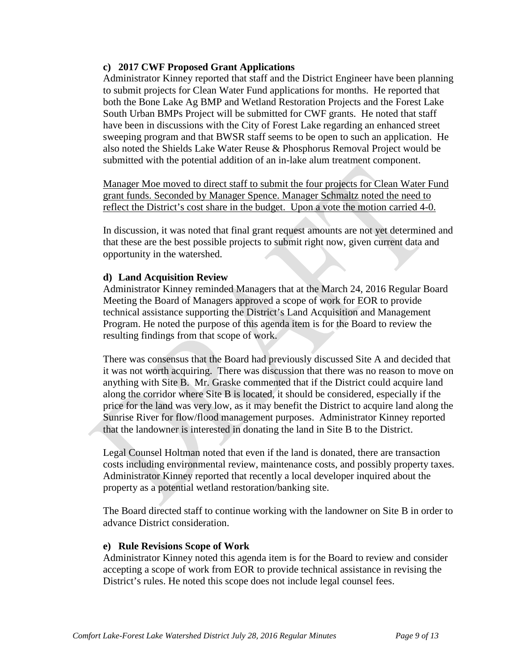## **c) 2017 CWF Proposed Grant Applications**

Administrator Kinney reported that staff and the District Engineer have been planning to submit projects for Clean Water Fund applications for months. He reported that both the Bone Lake Ag BMP and Wetland Restoration Projects and the Forest Lake South Urban BMPs Project will be submitted for CWF grants. He noted that staff have been in discussions with the City of Forest Lake regarding an enhanced street sweeping program and that BWSR staff seems to be open to such an application. He also noted the Shields Lake Water Reuse & Phosphorus Removal Project would be submitted with the potential addition of an in-lake alum treatment component.

Manager Moe moved to direct staff to submit the four projects for Clean Water Fund grant funds. Seconded by Manager Spence. Manager Schmaltz noted the need to reflect the District's cost share in the budget. Upon a vote the motion carried 4-0.

In discussion, it was noted that final grant request amounts are not yet determined and that these are the best possible projects to submit right now, given current data and opportunity in the watershed.

## **d) Land Acquisition Review**

Administrator Kinney reminded Managers that at the March 24, 2016 Regular Board Meeting the Board of Managers approved a scope of work for EOR to provide technical assistance supporting the District's Land Acquisition and Management Program. He noted the purpose of this agenda item is for the Board to review the resulting findings from that scope of work.

There was consensus that the Board had previously discussed Site A and decided that it was not worth acquiring. There was discussion that there was no reason to move on anything with Site B. Mr. Graske commented that if the District could acquire land along the corridor where Site B is located, it should be considered, especially if the price for the land was very low, as it may benefit the District to acquire land along the Sunrise River for flow/flood management purposes. Administrator Kinney reported that the landowner is interested in donating the land in Site B to the District.

Legal Counsel Holtman noted that even if the land is donated, there are transaction costs including environmental review, maintenance costs, and possibly property taxes. Administrator Kinney reported that recently a local developer inquired about the property as a potential wetland restoration/banking site.

The Board directed staff to continue working with the landowner on Site B in order to advance District consideration.

### **e) Rule Revisions Scope of Work**

Administrator Kinney noted this agenda item is for the Board to review and consider accepting a scope of work from EOR to provide technical assistance in revising the District's rules. He noted this scope does not include legal counsel fees.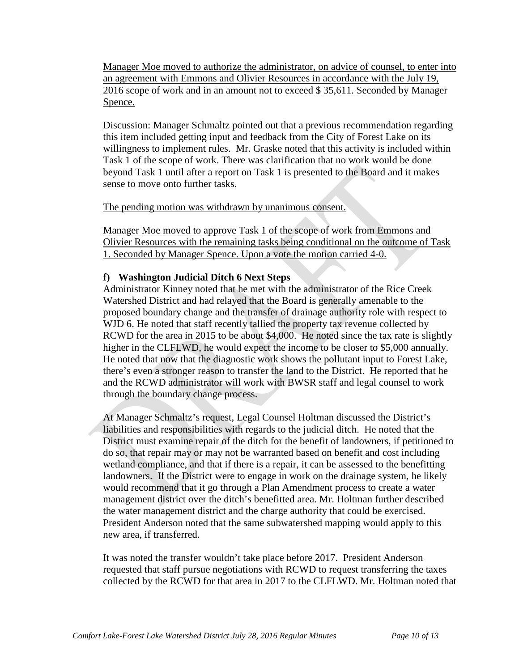Manager Moe moved to authorize the administrator, on advice of counsel, to enter into an agreement with Emmons and Olivier Resources in accordance with the July 19, 2016 scope of work and in an amount not to exceed \$ 35,611. Seconded by Manager Spence.

Discussion: Manager Schmaltz pointed out that a previous recommendation regarding this item included getting input and feedback from the City of Forest Lake on its willingness to implement rules. Mr. Graske noted that this activity is included within Task 1 of the scope of work. There was clarification that no work would be done beyond Task 1 until after a report on Task 1 is presented to the Board and it makes sense to move onto further tasks.

The pending motion was withdrawn by unanimous consent.

Manager Moe moved to approve Task 1 of the scope of work from Emmons and Olivier Resources with the remaining tasks being conditional on the outcome of Task 1. Seconded by Manager Spence. Upon a vote the motion carried 4-0.

## **f) Washington Judicial Ditch 6 Next Steps**

Administrator Kinney noted that he met with the administrator of the Rice Creek Watershed District and had relayed that the Board is generally amenable to the proposed boundary change and the transfer of drainage authority role with respect to WJD 6. He noted that staff recently tallied the property tax revenue collected by RCWD for the area in 2015 to be about \$4,000. He noted since the tax rate is slightly higher in the CLFLWD, he would expect the income to be closer to \$5,000 annually. He noted that now that the diagnostic work shows the pollutant input to Forest Lake, there's even a stronger reason to transfer the land to the District. He reported that he and the RCWD administrator will work with BWSR staff and legal counsel to work through the boundary change process.

At Manager Schmaltz's request, Legal Counsel Holtman discussed the District's liabilities and responsibilities with regards to the judicial ditch. He noted that the District must examine repair of the ditch for the benefit of landowners, if petitioned to do so, that repair may or may not be warranted based on benefit and cost including wetland compliance, and that if there is a repair, it can be assessed to the benefitting landowners. If the District were to engage in work on the drainage system, he likely would recommend that it go through a Plan Amendment process to create a water management district over the ditch's benefitted area. Mr. Holtman further described the water management district and the charge authority that could be exercised. President Anderson noted that the same subwatershed mapping would apply to this new area, if transferred.

It was noted the transfer wouldn't take place before 2017. President Anderson requested that staff pursue negotiations with RCWD to request transferring the taxes collected by the RCWD for that area in 2017 to the CLFLWD. Mr. Holtman noted that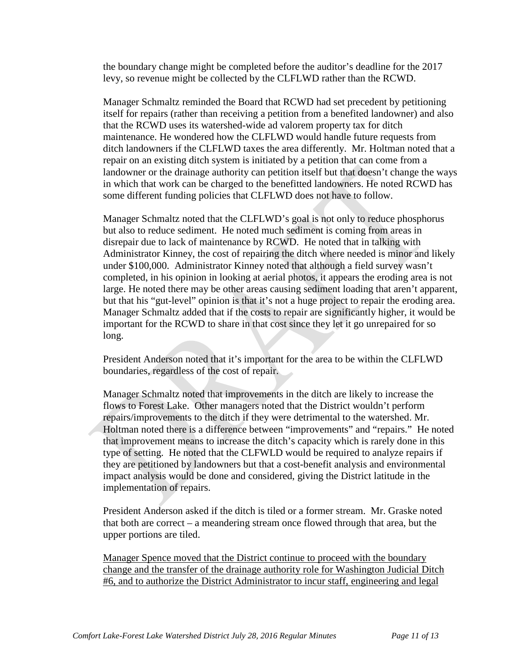the boundary change might be completed before the auditor's deadline for the 2017 levy, so revenue might be collected by the CLFLWD rather than the RCWD.

Manager Schmaltz reminded the Board that RCWD had set precedent by petitioning itself for repairs (rather than receiving a petition from a benefited landowner) and also that the RCWD uses its watershed-wide ad valorem property tax for ditch maintenance. He wondered how the CLFLWD would handle future requests from ditch landowners if the CLFLWD taxes the area differently. Mr. Holtman noted that a repair on an existing ditch system is initiated by a petition that can come from a landowner or the drainage authority can petition itself but that doesn't change the ways in which that work can be charged to the benefitted landowners. He noted RCWD has some different funding policies that CLFLWD does not have to follow.

Manager Schmaltz noted that the CLFLWD's goal is not only to reduce phosphorus but also to reduce sediment. He noted much sediment is coming from areas in disrepair due to lack of maintenance by RCWD. He noted that in talking with Administrator Kinney, the cost of repairing the ditch where needed is minor and likely under \$100,000. Administrator Kinney noted that although a field survey wasn't completed, in his opinion in looking at aerial photos, it appears the eroding area is not large. He noted there may be other areas causing sediment loading that aren't apparent, but that his "gut-level" opinion is that it's not a huge project to repair the eroding area. Manager Schmaltz added that if the costs to repair are significantly higher, it would be important for the RCWD to share in that cost since they let it go unrepaired for so long.

President Anderson noted that it's important for the area to be within the CLFLWD boundaries, regardless of the cost of repair.

Manager Schmaltz noted that improvements in the ditch are likely to increase the flows to Forest Lake. Other managers noted that the District wouldn't perform repairs/improvements to the ditch if they were detrimental to the watershed. Mr. Holtman noted there is a difference between "improvements" and "repairs." He noted that improvement means to increase the ditch's capacity which is rarely done in this type of setting. He noted that the CLFWLD would be required to analyze repairs if they are petitioned by landowners but that a cost-benefit analysis and environmental impact analysis would be done and considered, giving the District latitude in the implementation of repairs.

President Anderson asked if the ditch is tiled or a former stream. Mr. Graske noted that both are correct – a meandering stream once flowed through that area, but the upper portions are tiled.

Manager Spence moved that the District continue to proceed with the boundary change and the transfer of the drainage authority role for Washington Judicial Ditch #6, and to authorize the District Administrator to incur staff, engineering and legal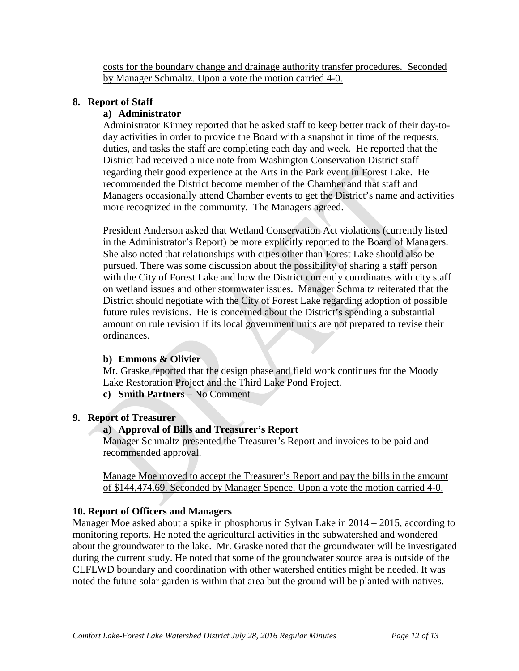costs for the boundary change and drainage authority transfer procedures. Seconded by Manager Schmaltz. Upon a vote the motion carried 4-0.

## **8. Report of Staff**

## **a) Administrator**

Administrator Kinney reported that he asked staff to keep better track of their day-today activities in order to provide the Board with a snapshot in time of the requests, duties, and tasks the staff are completing each day and week. He reported that the District had received a nice note from Washington Conservation District staff regarding their good experience at the Arts in the Park event in Forest Lake. He recommended the District become member of the Chamber and that staff and Managers occasionally attend Chamber events to get the District's name and activities more recognized in the community. The Managers agreed.

President Anderson asked that Wetland Conservation Act violations (currently listed in the Administrator's Report) be more explicitly reported to the Board of Managers. She also noted that relationships with cities other than Forest Lake should also be pursued. There was some discussion about the possibility of sharing a staff person with the City of Forest Lake and how the District currently coordinates with city staff on wetland issues and other stormwater issues. Manager Schmaltz reiterated that the District should negotiate with the City of Forest Lake regarding adoption of possible future rules revisions. He is concerned about the District's spending a substantial amount on rule revision if its local government units are not prepared to revise their ordinances.

### **b) Emmons & Olivier**

Mr. Graske reported that the design phase and field work continues for the Moody Lake Restoration Project and the Third Lake Pond Project.

**c) Smith Partners –** No Comment

### **9. Report of Treasurer**

## **a) Approval of Bills and Treasurer's Report**

Manager Schmaltz presented the Treasurer's Report and invoices to be paid and recommended approval.

Manage Moe moved to accept the Treasurer's Report and pay the bills in the amount of \$144,474.69. Seconded by Manager Spence. Upon a vote the motion carried 4-0.

### **10. Report of Officers and Managers**

Manager Moe asked about a spike in phosphorus in Sylvan Lake in 2014 – 2015, according to monitoring reports. He noted the agricultural activities in the subwatershed and wondered about the groundwater to the lake. Mr. Graske noted that the groundwater will be investigated during the current study. He noted that some of the groundwater source area is outside of the CLFLWD boundary and coordination with other watershed entities might be needed. It was noted the future solar garden is within that area but the ground will be planted with natives.